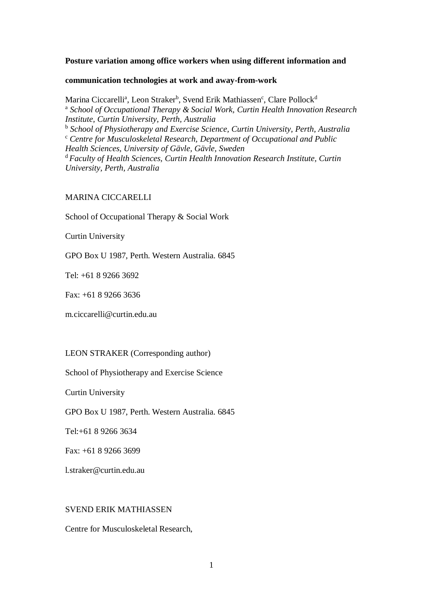## **Posture variation among office workers when using different information and**

#### **communication technologies at work and away-from-work**

Marina Ciccarelli<sup>a</sup>, Leon Straker<sup>b</sup>, Svend Erik Mathiassen<sup>c</sup>, Clare Pollock<sup>d</sup> <sup>a</sup> School of Occupational Therapy & Social Work, Curtin Health Innovation Research *Institute, Curtin University, Perth, Australia* b *School of Physiotherapy and Exercise Science, Curtin University, Perth, Australia* <sup>c</sup> *Centre for Musculoskeletal Research, Department of Occupational and Public Health Sciences, University of Gävle, Gävle, Sweden* <sup>d</sup>*Faculty of Health Sciences, Curtin Health Innovation Research Institute, Curtin University, Perth, Australia*

# MARINA CICCARELLI

School of Occupational Therapy & Social Work

Curtin University

GPO Box U 1987, Perth. Western Australia. 6845

Tel: +61 8 9266 3692

Fax: +61 8 9266 3636

m.ciccarelli@curtin.edu.au

# LEON STRAKER (Corresponding author)

School of Physiotherapy and Exercise Science

Curtin University

GPO Box U 1987, Perth. Western Australia. 6845

Tel:+61 8 9266 3634

Fax: +61 8 9266 3699

l.straker@curtin.edu.au

# SVEND ERIK MATHIASSEN

Centre for Musculoskeletal Research,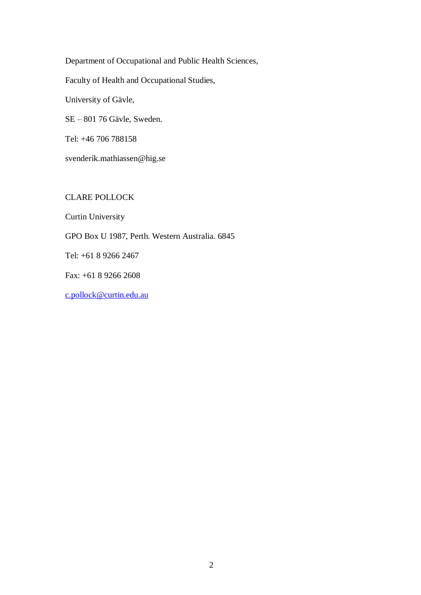Department of Occupational and Public Health Sciences,

Faculty of Health and Occupational Studies,

University of Gävle,

SE – 801 76 Gävle, Sweden.

Tel: +46 706 788158

svenderik.mathiassen@hig.se

CLARE POLLOCK

Curtin University

GPO Box U 1987, Perth. Western Australia. 6845

Tel: +61 8 9266 2467

Fax: +61 8 9266 2608

[c.pollock@curtin.edu.au](mailto:c.pollock@curtin.edu.au)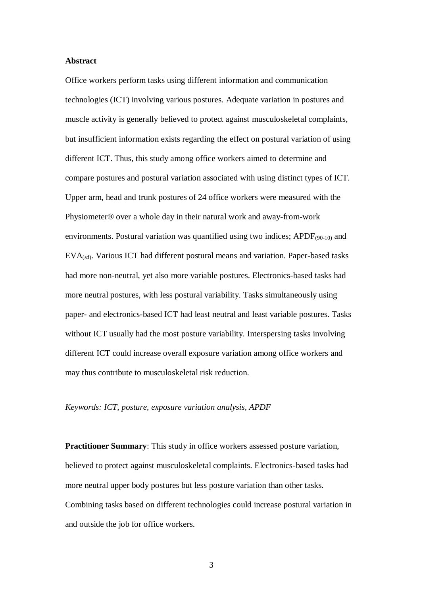### **Abstract**

Office workers perform tasks using different information and communication technologies (ICT) involving various postures. Adequate variation in postures and muscle activity is generally believed to protect against musculoskeletal complaints, but insufficient information exists regarding the effect on postural variation of using different ICT. Thus, this study among office workers aimed to determine and compare postures and postural variation associated with using distinct types of ICT. Upper arm, head and trunk postures of 24 office workers were measured with the Physiometer® over a whole day in their natural work and away-from-work environments. Postural variation was quantified using two indices;  $APDF_{(90-10)}$  and  $EVA_{(sd)}$ . Various ICT had different postural means and variation. Paper-based tasks had more non-neutral, yet also more variable postures. Electronics-based tasks had more neutral postures, with less postural variability. Tasks simultaneously using paper- and electronics-based ICT had least neutral and least variable postures. Tasks without ICT usually had the most posture variability. Interspersing tasks involving different ICT could increase overall exposure variation among office workers and may thus contribute to musculoskeletal risk reduction.

# *Keywords: ICT, posture, exposure variation analysis, APDF*

**Practitioner Summary**: This study in office workers assessed posture variation, believed to protect against musculoskeletal complaints. Electronics-based tasks had more neutral upper body postures but less posture variation than other tasks. Combining tasks based on different technologies could increase postural variation in and outside the job for office workers.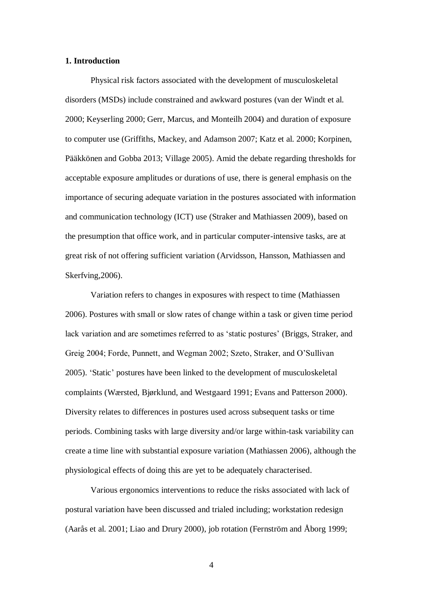### **1. Introduction**

Physical risk factors associated with the development of musculoskeletal disorders (MSDs) include constrained and awkward postures (van der Windt et al. 2000; Keyserling 2000; Gerr, Marcus, and Monteilh 2004) and duration of exposure to computer use (Griffiths, Mackey, and Adamson 2007; Katz et al. 2000; Korpinen, Pääkkönen and Gobba 2013; Village 2005). Amid the debate regarding thresholds for acceptable exposure amplitudes or durations of use, there is general emphasis on the importance of securing adequate variation in the postures associated with information and communication technology (ICT) use (Straker and Mathiassen 2009), based on the presumption that office work, and in particular computer-intensive tasks, are at great risk of not offering sufficient variation (Arvidsson, Hansson, Mathiassen and Skerfving,2006).

Variation refers to changes in exposures with respect to time (Mathiassen 2006). Postures with small or slow rates of change within a task or given time period lack variation and are sometimes referred to as 'static postures' (Briggs, Straker, and Greig 2004; Forde, Punnett, and Wegman 2002; Szeto, Straker, and O'Sullivan 2005). 'Static' postures have been linked to the development of musculoskeletal complaints (Wærsted, Bjørklund, and Westgaard 1991; Evans and Patterson 2000). Diversity relates to differences in postures used across subsequent tasks or time periods. Combining tasks with large diversity and/or large within-task variability can create a time line with substantial exposure variation (Mathiassen 2006), although the physiological effects of doing this are yet to be adequately characterised.

Various ergonomics interventions to reduce the risks associated with lack of postural variation have been discussed and trialed including; workstation redesign (Aarås et al. 2001; Liao and Drury 2000), job rotation (Fernström and Åborg 1999;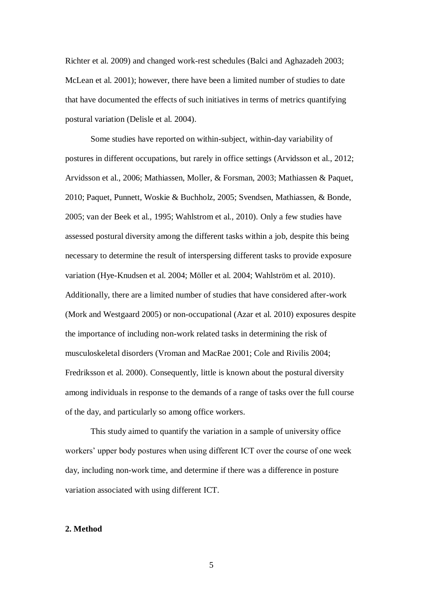Richter et al. 2009) and changed work-rest schedules (Balci and Aghazadeh 2003; McLean et al. 2001); however, there have been a limited number of studies to date that have documented the effects of such initiatives in terms of metrics quantifying postural variation (Delisle et al. 2004).

Some studies have reported on within-subject, within-day variability of postures in different occupations, but rarely in office settings (Arvidsson et al., 2012; Arvidsson et al., 2006; Mathiassen, Moller, & Forsman, 2003; Mathiassen & Paquet, 2010; Paquet, Punnett, Woskie & Buchholz, 2005; Svendsen, Mathiassen, & Bonde, 2005; van der Beek et al., 1995; Wahlstrom et al., 2010). Only a few studies have assessed postural diversity among the different tasks within a job, despite this being necessary to determine the result of interspersing different tasks to provide exposure variation (Hye-Knudsen et al. 2004; Möller et al. 2004; Wahlström et al. 2010). Additionally, there are a limited number of studies that have considered after-work (Mork and Westgaard 2005) or non-occupational (Azar et al. 2010) exposures despite the importance of including non-work related tasks in determining the risk of musculoskeletal disorders (Vroman and MacRae 2001; Cole and Rivilis 2004; Fredriksson et al. 2000). Consequently, little is known about the postural diversity among individuals in response to the demands of a range of tasks over the full course of the day, and particularly so among office workers.

This study aimed to quantify the variation in a sample of university office workers' upper body postures when using different ICT over the course of one week day, including non-work time, and determine if there was a difference in posture variation associated with using different ICT.

### **2. Method**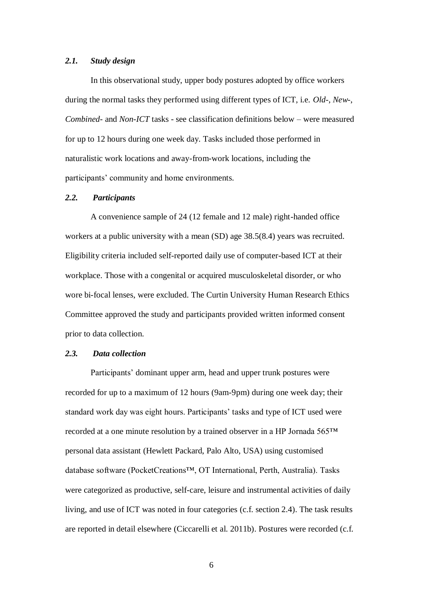## *2.1. Study design*

In this observational study, upper body postures adopted by office workers during the normal tasks they performed using different types of ICT, i.e. *Old*-, *New*-, *Combined*- and *Non-ICT* tasks - see classification definitions below – were measured for up to 12 hours during one week day. Tasks included those performed in naturalistic work locations and away-from-work locations, including the participants' community and home environments.

## *2.2. Participants*

A convenience sample of 24 (12 female and 12 male) right-handed office workers at a public university with a mean (SD) age 38.5(8.4) years was recruited. Eligibility criteria included self-reported daily use of computer-based ICT at their workplace. Those with a congenital or acquired musculoskeletal disorder, or who wore bi-focal lenses, were excluded. The Curtin University Human Research Ethics Committee approved the study and participants provided written informed consent prior to data collection.

## *2.3. Data collection*

Participants' dominant upper arm, head and upper trunk postures were recorded for up to a maximum of 12 hours (9am-9pm) during one week day; their standard work day was eight hours. Participants' tasks and type of ICT used were recorded at a one minute resolution by a trained observer in a HP Jornada 565™ personal data assistant (Hewlett Packard, Palo Alto, USA) using customised database software (PocketCreations™, OT International, Perth, Australia). Tasks were categorized as productive, self-care, leisure and instrumental activities of daily living, and use of ICT was noted in four categories (c.f. section 2.4). The task results are reported in detail elsewhere (Ciccarelli et al. 2011b). Postures were recorded (c.f.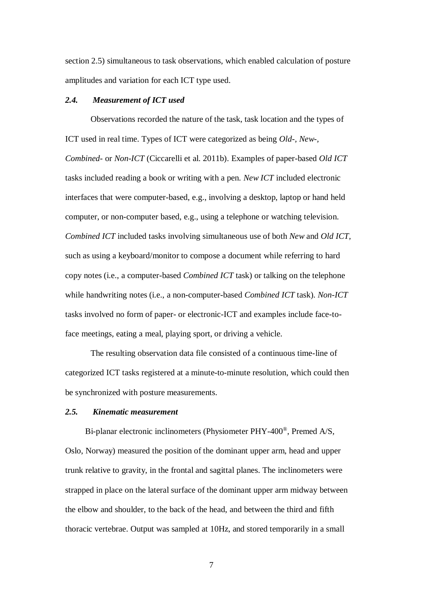section 2.5) simultaneous to task observations, which enabled calculation of posture amplitudes and variation for each ICT type used.

## *2.4. Measurement of ICT used*

Observations recorded the nature of the task, task location and the types of ICT used in real time. Types of ICT were categorized as being *Old-, New-, Combined*- or *Non-ICT* (Ciccarelli et al. 2011b). Examples of paper-based *Old ICT* tasks included reading a book or writing with a pen. *New ICT* included electronic interfaces that were computer-based, e.g., involving a desktop, laptop or hand held computer, or non-computer based, e.g., using a telephone or watching television. *Combined ICT* included tasks involving simultaneous use of both *New* and *Old ICT,*  such as using a keyboard/monitor to compose a document while referring to hard copy notes (i.e., a computer-based *Combined ICT* task) or talking on the telephone while handwriting notes (i.e., a non-computer-based *Combined ICT* task). *Non-ICT* tasks involved no form of paper- or electronic-ICT and examples include face-toface meetings, eating a meal, playing sport, or driving a vehicle.

The resulting observation data file consisted of a continuous time-line of categorized ICT tasks registered at a minute-to-minute resolution, which could then be synchronized with posture measurements.

## *2.5. Kinematic measurement*

Bi-planar electronic inclinometers (Physiometer PHY-400<sup>®</sup>, Premed A/S, Oslo, Norway) measured the position of the dominant upper arm, head and upper trunk relative to gravity, in the frontal and sagittal planes. The inclinometers were strapped in place on the lateral surface of the dominant upper arm midway between the elbow and shoulder, to the back of the head, and between the third and fifth thoracic vertebrae. Output was sampled at 10Hz, and stored temporarily in a small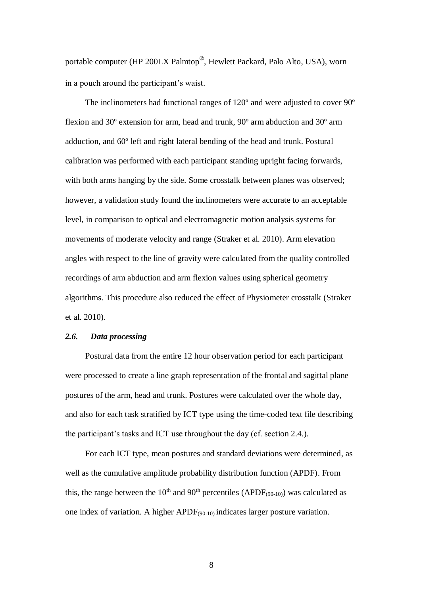portable computer (HP 200LX Palmtop®, Hewlett Packard, Palo Alto, USA), worn in a pouch around the participant's waist.

The inclinometers had functional ranges of 120º and were adjusted to cover 90º flexion and 30º extension for arm, head and trunk, 90º arm abduction and 30º arm adduction, and 60º left and right lateral bending of the head and trunk. Postural calibration was performed with each participant standing upright facing forwards, with both arms hanging by the side. Some crosstalk between planes was observed; however, a validation study found the inclinometers were accurate to an acceptable level, in comparison to optical and electromagnetic motion analysis systems for movements of moderate velocity and range (Straker et al. 2010). Arm elevation angles with respect to the line of gravity were calculated from the quality controlled recordings of arm abduction and arm flexion values using spherical geometry algorithms. This procedure also reduced the effect of Physiometer crosstalk (Straker et al. 2010).

# *2.6. Data processing*

Postural data from the entire 12 hour observation period for each participant were processed to create a line graph representation of the frontal and sagittal plane postures of the arm, head and trunk. Postures were calculated over the whole day, and also for each task stratified by ICT type using the time-coded text file describing the participant's tasks and ICT use throughout the day (cf. section 2.4.).

For each ICT type, mean postures and standard deviations were determined, as well as the cumulative amplitude probability distribution function (APDF). From this, the range between the 10<sup>th</sup> and 90<sup>th</sup> percentiles (APDF<sub>(90-10)</sub>) was calculated as one index of variation. A higher APDF(90-10) indicates larger posture variation.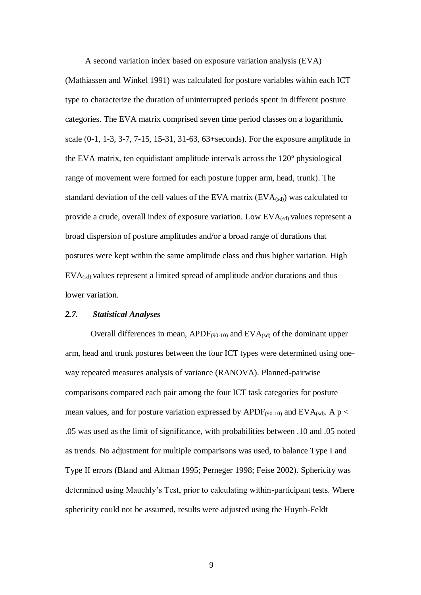A second variation index based on exposure variation analysis (EVA)

(Mathiassen and Winkel 1991) was calculated for posture variables within each ICT type to characterize the duration of uninterrupted periods spent in different posture categories. The EVA matrix comprised seven time period classes on a logarithmic scale (0-1, 1-3, 3-7, 7-15, 15-31, 31-63, 63+seconds). For the exposure amplitude in the EVA matrix, ten equidistant amplitude intervals across the 120º physiological range of movement were formed for each posture (upper arm, head, trunk). The standard deviation of the cell values of the EVA matrix  $(EVA_{(sd)})$  was calculated to provide a crude, overall index of exposure variation. Low  $EVA_{(sd)}$  values represent a broad dispersion of posture amplitudes and/or a broad range of durations that postures were kept within the same amplitude class and thus higher variation. High  $EVA_{(sd)}$  values represent a limited spread of amplitude and/or durations and thus lower variation.

# *2.7. Statistical Analyses*

Overall differences in mean,  $APDF_{(90-10)}$  and  $EVA_{(sd)}$  of the dominant upper arm, head and trunk postures between the four ICT types were determined using oneway repeated measures analysis of variance (RANOVA). Planned-pairwise comparisons compared each pair among the four ICT task categories for posture mean values, and for posture variation expressed by APDF $_{(90-10)}$  and EVA $_{(sd)}$ . A p < .05 was used as the limit of significance, with probabilities between .10 and .05 noted as trends. No adjustment for multiple comparisons was used, to balance Type I and Type II errors (Bland and Altman 1995; Perneger 1998; Feise 2002). Sphericity was determined using Mauchly's Test, prior to calculating within-participant tests. Where sphericity could not be assumed, results were adjusted using the Huynh-Feldt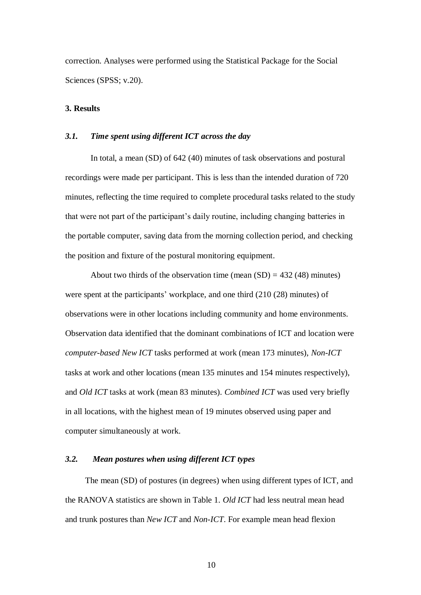correction. Analyses were performed using the Statistical Package for the Social Sciences (SPSS; v.20).

### **3. Results**

#### *3.1. Time spent using different ICT across the day*

In total, a mean (SD) of 642 (40) minutes of task observations and postural recordings were made per participant. This is less than the intended duration of 720 minutes, reflecting the time required to complete procedural tasks related to the study that were not part of the participant's daily routine, including changing batteries in the portable computer, saving data from the morning collection period, and checking the position and fixture of the postural monitoring equipment.

About two thirds of the observation time (mean  $(SD) = 432 (48)$  minutes) were spent at the participants' workplace, and one third (210 (28) minutes) of observations were in other locations including community and home environments. Observation data identified that the dominant combinations of ICT and location were *computer-based New ICT* tasks performed at work (mean 173 minutes), *Non-ICT* tasks at work and other locations (mean 135 minutes and 154 minutes respectively), and *Old ICT* tasks at work (mean 83 minutes). *Combined ICT* was used very briefly in all locations, with the highest mean of 19 minutes observed using paper and computer simultaneously at work.

### *3.2. Mean postures when using different ICT types*

The mean (SD) of postures (in degrees) when using different types of ICT, and the RANOVA statistics are shown in Table 1. *Old ICT* had less neutral mean head and trunk postures than *New ICT* and *Non-ICT*. For example mean head flexion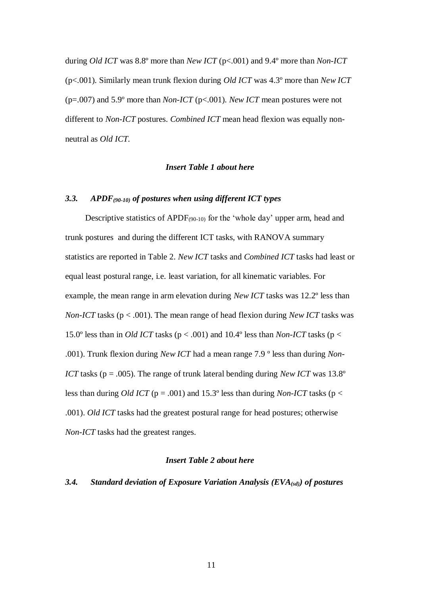during *Old ICT* was 8.8º more than *New ICT* (p<.001) and 9.4º more than *Non-ICT* (p<.001). Similarly mean trunk flexion during *Old ICT* was 4.3º more than *New ICT* (p=.007) and 5.9º more than *Non-ICT* (p<.001). *New ICT* mean postures were not different to *Non-ICT* postures. *Combined ICT* mean head flexion was equally nonneutral as *Old ICT.*

## *Insert Table 1 about here*

# *3.3. APDF(90-10) of postures when using different ICT types*

Descriptive statistics of APDF<sub>(90-10)</sub> for the 'whole day' upper arm, head and trunk postures and during the different ICT tasks, with RANOVA summary statistics are reported in Table 2. *New ICT* tasks and *Combined ICT* tasks had least or equal least postural range, i.e. least variation, for all kinematic variables. For example, the mean range in arm elevation during *New ICT* tasks was 12.2º less than *Non-ICT* tasks (p < .001). The mean range of head flexion during *New ICT* tasks was 15.0° less than in *Old ICT* tasks ( $p < .001$ ) and 10.4° less than *Non-ICT* tasks ( $p <$ .001). Trunk flexion during *New ICT* had a mean range 7.9 º less than during *Non-ICT* tasks (p = .005). The range of trunk lateral bending during *New ICT* was 13.8° less than during *Old ICT* ( $p = .001$ ) and 15.3° less than during *Non-ICT* tasks ( $p <$ .001). *Old ICT* tasks had the greatest postural range for head postures; otherwise *Non-ICT* tasks had the greatest ranges.

# *Insert Table 2 about here*

## *3.4. Standard deviation of Exposure Variation Analysis (EVA(sd)) of postures*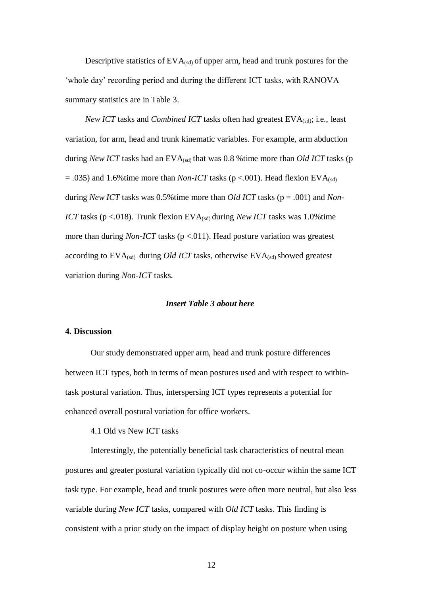Descriptive statistics of  $EVA_{(sd)}$  of upper arm, head and trunk postures for the 'whole day' recording period and during the different ICT tasks, with RANOVA summary statistics are in Table 3.

*New ICT* tasks and *Combined ICT* tasks often had greatest EVA<sub>(sd)</sub>; i.e., least variation, for arm, head and trunk kinematic variables. For example, arm abduction during *New ICT* tasks had an EVA<sub>(sd)</sub> that was 0.8 % time more than *Old ICT* tasks (p  $= .035$ ) and 1.6%time more than *Non-ICT* tasks ( $p < .001$ ). Head flexion EVA<sub>(sd)</sub> during *New ICT* tasks was 0.5%time more than *Old ICT* tasks (p = .001) and *Non-ICT* tasks (p <.018). Trunk flexion EVA<sub>(sd)</sub> during *New ICT* tasks was 1.0%time more than during *Non-ICT* tasks ( $p < 011$ ). Head posture variation was greatest according to  $EVA_{(sd)}$  during *Old ICT* tasks, otherwise  $EVA_{(sd)}$  showed greatest variation during *Non-ICT* tasks.

### *Insert Table 3 about here*

#### **4. Discussion**

Our study demonstrated upper arm, head and trunk posture differences between ICT types, both in terms of mean postures used and with respect to withintask postural variation. Thus, interspersing ICT types represents a potential for enhanced overall postural variation for office workers.

4.1 Old vs New ICT tasks

Interestingly, the potentially beneficial task characteristics of neutral mean postures and greater postural variation typically did not co-occur within the same ICT task type. For example, head and trunk postures were often more neutral, but also less variable during *New ICT* tasks, compared with *Old ICT* tasks. This finding is consistent with a prior study on the impact of display height on posture when using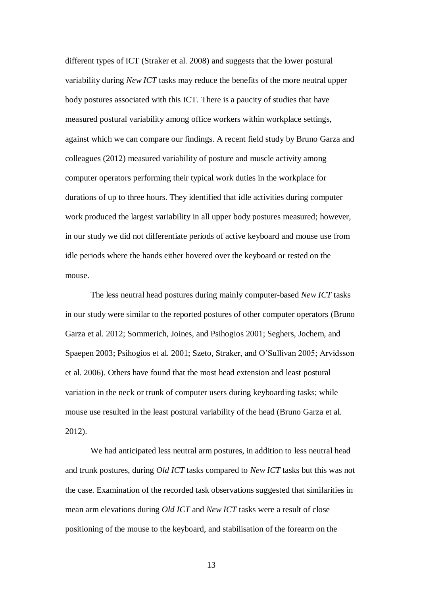different types of ICT (Straker et al. 2008) and suggests that the lower postural variability during *New ICT* tasks may reduce the benefits of the more neutral upper body postures associated with this ICT. There is a paucity of studies that have measured postural variability among office workers within workplace settings, against which we can compare our findings. A recent field study by Bruno Garza and colleagues (2012) measured variability of posture and muscle activity among computer operators performing their typical work duties in the workplace for durations of up to three hours. They identified that idle activities during computer work produced the largest variability in all upper body postures measured; however, in our study we did not differentiate periods of active keyboard and mouse use from idle periods where the hands either hovered over the keyboard or rested on the mouse.

The less neutral head postures during mainly computer-based *New ICT* tasks in our study were similar to the reported postures of other computer operators (Bruno Garza et al. 2012; Sommerich, Joines, and Psihogios 2001; Seghers, Jochem, and Spaepen 2003; Psihogios et al. 2001; Szeto, Straker, and O'Sullivan 2005; Arvidsson et al. 2006). Others have found that the most head extension and least postural variation in the neck or trunk of computer users during keyboarding tasks; while mouse use resulted in the least postural variability of the head (Bruno Garza et al. 2012).

We had anticipated less neutral arm postures, in addition to less neutral head and trunk postures, during *Old ICT* tasks compared to *New ICT* tasks but this was not the case. Examination of the recorded task observations suggested that similarities in mean arm elevations during *Old ICT* and *New ICT* tasks were a result of close positioning of the mouse to the keyboard, and stabilisation of the forearm on the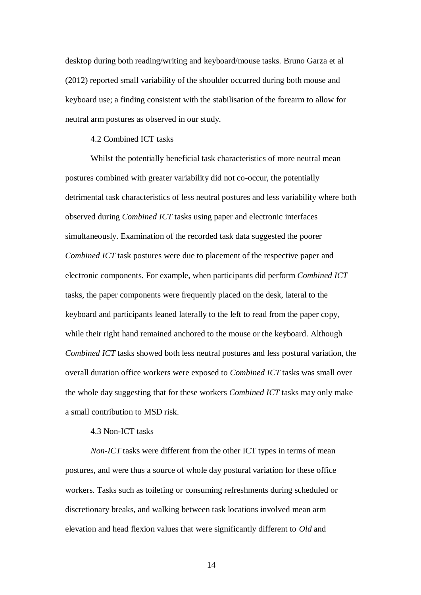desktop during both reading/writing and keyboard/mouse tasks. Bruno Garza et al (2012) reported small variability of the shoulder occurred during both mouse and keyboard use; a finding consistent with the stabilisation of the forearm to allow for neutral arm postures as observed in our study.

### 4.2 Combined ICT tasks

Whilst the potentially beneficial task characteristics of more neutral mean postures combined with greater variability did not co-occur, the potentially detrimental task characteristics of less neutral postures and less variability where both observed during *Combined ICT* tasks using paper and electronic interfaces simultaneously. Examination of the recorded task data suggested the poorer *Combined ICT* task postures were due to placement of the respective paper and electronic components. For example, when participants did perform *Combined ICT* tasks, the paper components were frequently placed on the desk, lateral to the keyboard and participants leaned laterally to the left to read from the paper copy, while their right hand remained anchored to the mouse or the keyboard. Although *Combined ICT* tasks showed both less neutral postures and less postural variation, the overall duration office workers were exposed to *Combined ICT* tasks was small over the whole day suggesting that for these workers *Combined ICT* tasks may only make a small contribution to MSD risk.

## 4.3 Non-ICT tasks

*Non-ICT* tasks were different from the other ICT types in terms of mean postures, and were thus a source of whole day postural variation for these office workers. Tasks such as toileting or consuming refreshments during scheduled or discretionary breaks, and walking between task locations involved mean arm elevation and head flexion values that were significantly different to *Old* and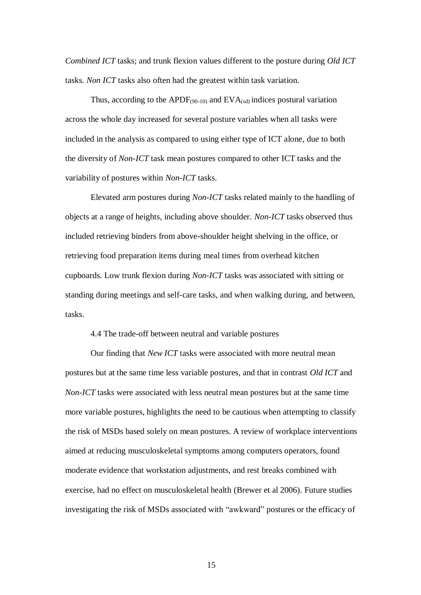*Combined ICT* tasks; and trunk flexion values different to the posture during *Old ICT* tasks*. Non ICT* tasks also often had the greatest within task variation.

Thus, according to the APDF $_{(90-10)}$  and EVA $_{(sd)}$  indices postural variation across the whole day increased for several posture variables when all tasks were included in the analysis as compared to using either type of ICT alone, due to both the diversity of *Non-ICT* task mean postures compared to other ICT tasks and the variability of postures within *Non-ICT* tasks.

Elevated arm postures during *Non-ICT* tasks related mainly to the handling of objects at a range of heights, including above shoulder. *Non-ICT* tasks observed thus included retrieving binders from above-shoulder height shelving in the office, or retrieving food preparation items during meal times from overhead kitchen cupboards. Low trunk flexion during *Non-ICT* tasks was associated with sitting or standing during meetings and self-care tasks, and when walking during, and between, tasks.

4.4 The trade-off between neutral and variable postures

Our finding that *New ICT* tasks were associated with more neutral mean postures but at the same time less variable postures, and that in contrast *Old ICT* and *Non-ICT* tasks were associated with less neutral mean postures but at the same time more variable postures, highlights the need to be cautious when attempting to classify the risk of MSDs based solely on mean postures. A review of workplace interventions aimed at reducing musculoskeletal symptoms among computers operators, found moderate evidence that workstation adjustments, and rest breaks combined with exercise, had no effect on musculoskeletal health (Brewer et al 2006). Future studies investigating the risk of MSDs associated with "awkward" postures or the efficacy of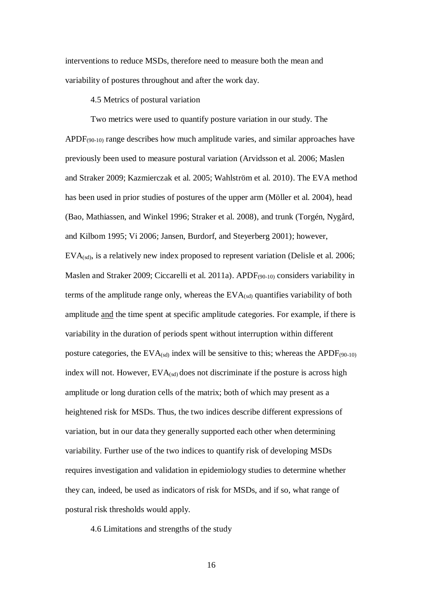interventions to reduce MSDs, therefore need to measure both the mean and variability of postures throughout and after the work day.

### 4.5 Metrics of postural variation

Two metrics were used to quantify posture variation in our study. The APDF<sub>(90-10)</sub> range describes how much amplitude varies, and similar approaches have previously been used to measure postural variation (Arvidsson et al. 2006; Maslen and Straker 2009; Kazmierczak et al. 2005; Wahlström et al. 2010). The EVA method has been used in prior studies of postures of the upper arm (Möller et al. 2004), head (Bao, Mathiassen, and Winkel 1996; Straker et al. 2008), and trunk (Torgén, Nygård, and Kilbom 1995; Vi 2006; Jansen, Burdorf, and Steyerberg 2001); however,  $EVA_{(sd)}$ , is a relatively new index proposed to represent variation (Delisle et al. 2006; Maslen and Straker 2009; Ciccarelli et al. 2011a). APDF(90-10) considers variability in terms of the amplitude range only, whereas the  $EVA_{(sd)}$  quantifies variability of both amplitude and the time spent at specific amplitude categories. For example, if there is variability in the duration of periods spent without interruption within different posture categories, the EVA $_{(sd)}$  index will be sensitive to this; whereas the APDF $_{(90-10)}$ index will not. However,  $EVA_{(sd)}$  does not discriminate if the posture is across high amplitude or long duration cells of the matrix; both of which may present as a heightened risk for MSDs. Thus, the two indices describe different expressions of variation, but in our data they generally supported each other when determining variability. Further use of the two indices to quantify risk of developing MSDs requires investigation and validation in epidemiology studies to determine whether they can, indeed, be used as indicators of risk for MSDs, and if so, what range of postural risk thresholds would apply.

4.6 Limitations and strengths of the study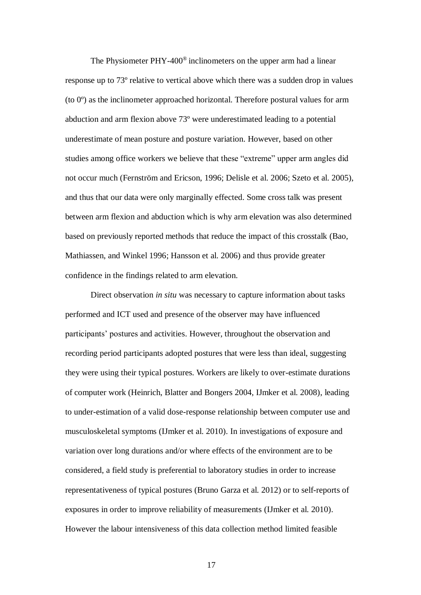The Physiometer PHY-400® inclinometers on the upper arm had a linear response up to 73º relative to vertical above which there was a sudden drop in values (to 0º) as the inclinometer approached horizontal. Therefore postural values for arm abduction and arm flexion above 73º were underestimated leading to a potential underestimate of mean posture and posture variation. However, based on other studies among office workers we believe that these "extreme" upper arm angles did not occur much (Fernström and Ericson, 1996; Delisle et al. 2006; Szeto et al. 2005), and thus that our data were only marginally effected. Some cross talk was present between arm flexion and abduction which is why arm elevation was also determined based on previously reported methods that reduce the impact of this crosstalk (Bao, Mathiassen, and Winkel 1996; Hansson et al. 2006) and thus provide greater confidence in the findings related to arm elevation.

Direct observation *in situ* was necessary to capture information about tasks performed and ICT used and presence of the observer may have influenced participants' postures and activities. However, throughout the observation and recording period participants adopted postures that were less than ideal, suggesting they were using their typical postures. Workers are likely to over-estimate durations of computer work (Heinrich, Blatter and Bongers 2004, IJmker et al. 2008), leading to under-estimation of a valid dose-response relationship between computer use and musculoskeletal symptoms (IJmker et al. 2010). In investigations of exposure and variation over long durations and/or where effects of the environment are to be considered, a field study is preferential to laboratory studies in order to increase representativeness of typical postures (Bruno Garza et al. 2012) or to self-reports of exposures in order to improve reliability of measurements (IJmker et al. 2010). However the labour intensiveness of this data collection method limited feasible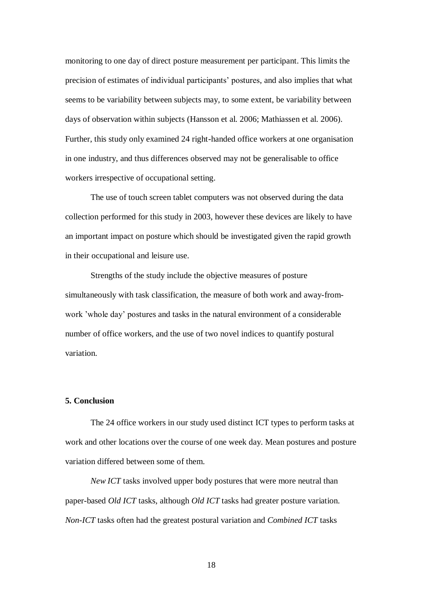monitoring to one day of direct posture measurement per participant. This limits the precision of estimates of individual participants' postures, and also implies that what seems to be variability between subjects may, to some extent, be variability between days of observation within subjects (Hansson et al. 2006; Mathiassen et al. 2006). Further, this study only examined 24 right-handed office workers at one organisation in one industry, and thus differences observed may not be generalisable to office workers irrespective of occupational setting.

The use of touch screen tablet computers was not observed during the data collection performed for this study in 2003, however these devices are likely to have an important impact on posture which should be investigated given the rapid growth in their occupational and leisure use.

Strengths of the study include the objective measures of posture simultaneously with task classification, the measure of both work and away-fromwork 'whole day' postures and tasks in the natural environment of a considerable number of office workers, and the use of two novel indices to quantify postural variation.

# **5. Conclusion**

The 24 office workers in our study used distinct ICT types to perform tasks at work and other locations over the course of one week day. Mean postures and posture variation differed between some of them.

*New ICT* tasks involved upper body postures that were more neutral than paper-based *Old ICT* tasks, although *Old ICT* tasks had greater posture variation. *Non-ICT* tasks often had the greatest postural variation and *Combined ICT* tasks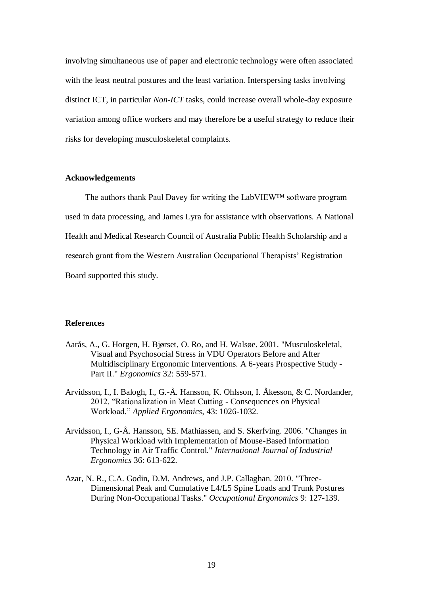involving simultaneous use of paper and electronic technology were often associated with the least neutral postures and the least variation. Interspersing tasks involving distinct ICT, in particular *Non-ICT* tasks, could increase overall whole-day exposure variation among office workers and may therefore be a useful strategy to reduce their risks for developing musculoskeletal complaints.

### **Acknowledgements**

The authors thank Paul Davey for writing the LabVIEW™ software program used in data processing, and James Lyra for assistance with observations. A National Health and Medical Research Council of Australia Public Health Scholarship and a research grant from the Western Australian Occupational Therapists' Registration Board supported this study.

## **References**

- Aarås, A., G. Horgen, H. Bjørset, O. Ro, and H. Walsøe. 2001. "Musculoskeletal, Visual and Psychosocial Stress in VDU Operators Before and After Multidisciplinary Ergonomic Interventions. A 6-years Prospective Study - Part II." *Ergonomics* 32: 559-571.
- Arvidsson, I., I. Balogh, I., G.-Å. Hansson, K. Ohlsson, I. Åkesson, & C. Nordander, 2012. "Rationalization in Meat Cutting - Consequences on Physical Workload." *Applied Ergonomics,* 43: 1026-1032.
- Arvidsson, I., G-Å. Hansson, SE. Mathiassen, and S. Skerfving. 2006. "Changes in Physical Workload with Implementation of Mouse-Based Information Technology in Air Traffic Control." *International Journal of Industrial Ergonomics* 36: 613-622.
- Azar, N. R., C.A. Godin, D.M. Andrews, and J.P. Callaghan. 2010. "Three-Dimensional Peak and Cumulative L4/L5 Spine Loads and Trunk Postures During Non-Occupational Tasks." *Occupational Ergonomics* 9: 127-139.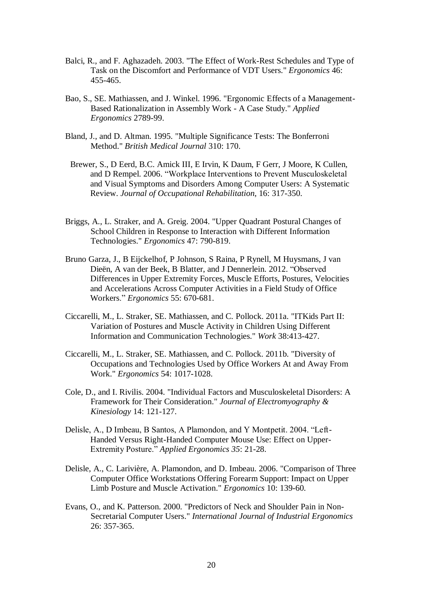- Balci, R., and F. Aghazadeh. 2003. "The Effect of Work-Rest Schedules and Type of Task on the Discomfort and Performance of VDT Users." *Ergonomics* 46: 455-465.
- Bao, S., SE. Mathiassen, and J. Winkel. 1996. "Ergonomic Effects of a Management-Based Rationalization in Assembly Work - A Case Study." *Applied Ergonomics* 2789-99.
- Bland, J., and D. Altman. 1995. "Multiple Significance Tests: The Bonferroni Method." *British Medical Journal* 310: 170.
	- Brewer, S., D Eerd, B.C. Amick III, E Irvin, K Daum, F Gerr, J Moore, K Cullen, and D Rempel. 2006. "Workplace Interventions to Prevent Musculoskeletal and Visual Symptoms and Disorders Among Computer Users: A Systematic Review. *Journal of Occupational Rehabilitation*, 16: 317-350.
- Briggs, A., L. Straker, and A. Greig. 2004. "Upper Quadrant Postural Changes of School Children in Response to Interaction with Different Information Technologies." *Ergonomics* 47: 790-819.
- Bruno Garza, J., B Eijckelhof, P Johnson, S Raina, P Rynell, M Huysmans, J van Dieën, A van der Beek, B Blatter, and J Dennerlein. 2012. "Observed Differences in Upper Extremity Forces, Muscle Efforts, Postures, Velocities and Accelerations Across Computer Activities in a Field Study of Office Workers." *Ergonomics* 55: 670-681.
- Ciccarelli, M., L. Straker, SE. Mathiassen, and C. Pollock. 2011a. "ITKids Part II: Variation of Postures and Muscle Activity in Children Using Different Information and Communication Technologies." *Work* 38:413-427.
- Ciccarelli, M., L. Straker, SE. Mathiassen, and C. Pollock. 2011b. "Diversity of Occupations and Technologies Used by Office Workers At and Away From Work." *Ergonomics* 54: 1017-1028.
- Cole, D., and I. Rivilis. 2004. "Individual Factors and Musculoskeletal Disorders: A Framework for Their Consideration." *Journal of Electromyography & Kinesiology* 14: 121-127.
- Delisle, A., D Imbeau, B Santos, A Plamondon, and Y Montpetit. 2004. "Left-Handed Versus Right-Handed Computer Mouse Use: Effect on Upper-Extremity Posture." *Applied Ergonomics 35*: 21-28.
- Delisle, A., C. Larivière, A. Plamondon, and D. Imbeau. 2006. "Comparison of Three Computer Office Workstations Offering Forearm Support: Impact on Upper Limb Posture and Muscle Activation." *Ergonomics* 10: 139-60.
- Evans, O., and K. Patterson. 2000. "Predictors of Neck and Shoulder Pain in Non-Secretarial Computer Users." *International Journal of Industrial Ergonomics* 26: 357-365.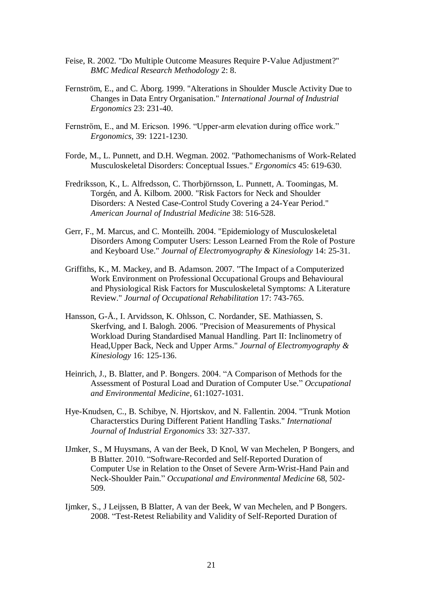- Feise, R. 2002. "Do Multiple Outcome Measures Require P-Value Adjustment?" *BMC Medical Research Methodology* 2: 8.
- Fernström, E., and C. Åborg. 1999. "Alterations in Shoulder Muscle Activity Due to Changes in Data Entry Organisation." *International Journal of Industrial Ergonomics* 23: 231-40.
- Fernström, E., and M. Ericson. 1996. "Upper-arm elevation during office work." *Ergonomics*, 39: 1221-1230.
- Forde, M., L. Punnett, and D.H. Wegman. 2002. "Pathomechanisms of Work-Related Musculoskeletal Disorders: Conceptual Issues." *Ergonomics* 45: 619-630.
- Fredriksson, K., L. Alfredsson, C. Thorbjörnsson, L. Punnett, A. Toomingas, M. Torgén, and Å. Kilbom. 2000. "Risk Factors for Neck and Shoulder Disorders: A Nested Case-Control Study Covering a 24-Year Period." *American Journal of Industrial Medicine* 38: 516-528.
- Gerr, F., M. Marcus, and C. Monteilh. 2004. "Epidemiology of Musculoskeletal Disorders Among Computer Users: Lesson Learned From the Role of Posture and Keyboard Use." *Journal of Electromyography & Kinesiology* 14: 25-31.
- Griffiths, K., M. Mackey, and B. Adamson. 2007. "The Impact of a Computerized Work Environment on Professional Occupational Groups and Behavioural and Physiological Risk Factors for Musculoskeletal Symptoms: A Literature Review." *Journal of Occupational Rehabilitation* 17: 743-765.
- Hansson, G-Å., I. Arvidsson, K. Ohlsson, C. Nordander, SE. Mathiassen, S. Skerfving, and I. Balogh. 2006. "Precision of Measurements of Physical Workload During Standardised Manual Handling. Part II: Inclinometry of Head,Upper Back, Neck and Upper Arms." *Journal of Electromyography & Kinesiology* 16: 125-136.
- Heinrich, J., B. Blatter, and P. Bongers. 2004. "A Comparison of Methods for the Assessment of Postural Load and Duration of Computer Use." *Occupational and Environmental Medicine*, 61:1027-1031.
- Hye-Knudsen, C., B. Schibye, N. Hjortskov, and N. Fallentin. 2004. "Trunk Motion Characterstics During Different Patient Handling Tasks." *International Journal of Industrial Ergonomics* 33: 327-337.
- IJmker, S., M Huysmans, A van der Beek, D Knol, W van Mechelen, P Bongers, and B Blatter. 2010. "Software-Recorded and Self-Reported Duration of Computer Use in Relation to the Onset of Severe Arm-Wrist-Hand Pain and Neck-Shoulder Pain." *Occupational and Environmental Medicine* 68, 502- 509.
- Ijmker, S., J Leijssen, B Blatter, A van der Beek, W van Mechelen, and P Bongers. 2008. "Test-Retest Reliability and Validity of Self-Reported Duration of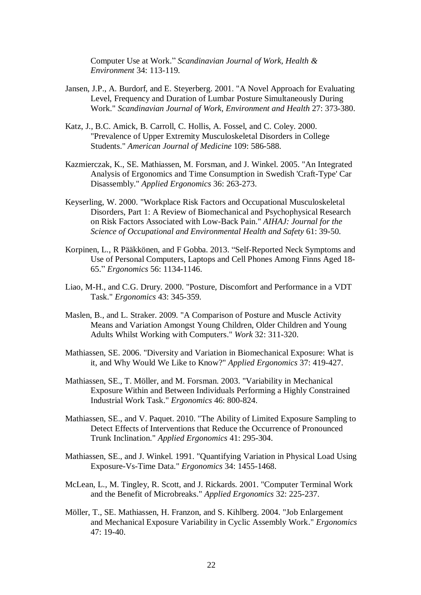Computer Use at Work." *Scandinavian Journal of Work, Health & Environment* 34: 113-119.

- Jansen, J.P., A. Burdorf, and E. Steyerberg. 2001. "A Novel Approach for Evaluating Level, Frequency and Duration of Lumbar Posture Simultaneously During Work." *Scandinavian Journal of Work, Environment and Health* 27: 373-380.
- Katz, J., B.C. Amick, B. Carroll, C. Hollis, A. Fossel, and C. Coley. 2000. "Prevalence of Upper Extremity Musculoskeletal Disorders in College Students." *American Journal of Medicine* 109: 586-588.
- Kazmierczak, K., SE. Mathiassen, M. Forsman, and J. Winkel. 2005. "An Integrated Analysis of Ergonomics and Time Consumption in Swedish 'Craft-Type' Car Disassembly." *Applied Ergonomics* 36: 263-273.
- Keyserling, W. 2000. "Workplace Risk Factors and Occupational Musculoskeletal Disorders, Part 1: A Review of Biomechanical and Psychophysical Research on Risk Factors Associated with Low-Back Pain." *AIHAJ: Journal for the Science of Occupational and Environmental Health and Safety* 61: 39-50.
- Korpinen, L., R Pääkkönen, and F Gobba. 2013. "Self-Reported Neck Symptoms and Use of Personal Computers, Laptops and Cell Phones Among Finns Aged 18- 65." *Ergonomics* 56: 1134-1146.
- Liao, M-H., and C.G. Drury. 2000. "Posture, Discomfort and Performance in a VDT Task." *Ergonomics* 43: 345-359.
- Maslen, B., and L. Straker. 2009. "A Comparison of Posture and Muscle Activity Means and Variation Amongst Young Children, Older Children and Young Adults Whilst Working with Computers." *Work* 32: 311-320.
- Mathiassen, SE. 2006. "Diversity and Variation in Biomechanical Exposure: What is it, and Why Would We Like to Know?" *Applied Ergonomics* 37: 419-427.
- Mathiassen, SE., T. Möller, and M. Forsman. 2003. "Variability in Mechanical Exposure Within and Between Individuals Performing a Highly Constrained Industrial Work Task." *Ergonomics* 46: 800-824.
- Mathiassen, SE., and V. Paquet. 2010. "The Ability of Limited Exposure Sampling to Detect Effects of Interventions that Reduce the Occurrence of Pronounced Trunk Inclination." *Applied Ergonomics* 41: 295-304.
- Mathiassen, SE., and J. Winkel. 1991. "Quantifying Variation in Physical Load Using Exposure-Vs-Time Data." *Ergonomics* 34: 1455-1468.
- McLean, L., M. Tingley, R. Scott, and J. Rickards. 2001. "Computer Terminal Work and the Benefit of Microbreaks." *Applied Ergonomics* 32: 225-237.
- Möller, T., SE. Mathiassen, H. Franzon, and S. Kihlberg. 2004. "Job Enlargement and Mechanical Exposure Variability in Cyclic Assembly Work." *Ergonomics* 47: 19-40.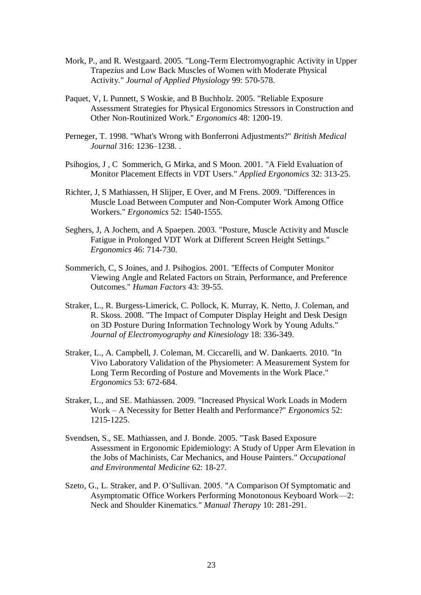- Mork, P., and R. Westgaard. 2005. "Long-Term Electromyographic Activity in Upper Trapezius and Low Back Muscles of Women with Moderate Physical Activity." *Journal of Applied Physiology* 99: 570-578.
- Paquet, V, L Punnett, S Woskie, and B Buchholz. 2005. "Reliable Exposure Assessment Strategies for Physical Ergonomics Stressors in Construction and Other Non-Routinized Work." *Ergonomics* 48: 1200-19.
- Perneger, T. 1998. "What's Wrong with Bonferroni Adjustments?" *British Medical Journal* 316: 1236–1238. .
- Psihogios, J , C Sommerich, G Mirka, and S Moon. 2001. "A Field Evaluation of Monitor Placement Effects in VDT Users." *Applied Ergonomics* 32: 313-25.
- Richter, J, S Mathiassen, H Slijper, E Over, and M Frens. 2009. "Differences in Muscle Load Between Computer and Non-Computer Work Among Office Workers." *Ergonomics* 52: 1540-1555.
- Seghers, J, A Jochem, and A Spaepen. 2003. "Posture, Muscle Activity and Muscle Fatigue in Prolonged VDT Work at Different Screen Height Settings." *Ergonomics* 46: 714-730.
- Sommerich, C, S Joines, and J. Psihogios. 2001. "Effects of Computer Monitor Viewing Angle and Related Factors on Strain, Performance, and Preference Outcomes." *Human Factors* 43: 39-55.
- Straker, L., R. Burgess-Limerick, C. Pollock, K. Murray, K. Netto, J. Coleman, and R. Skoss. 2008. "The Impact of Computer Display Height and Desk Design on 3D Posture During Information Technology Work by Young Adults." *Journal of Electromyography and Kinesiology* 18: 336-349.
- Straker, L., A. Campbell, J. Coleman, M. Ciccarelli, and W. Dankaerts. 2010. "In Vivo Laboratory Validation of the Physiometer: A Measurement System for Long Term Recording of Posture and Movements in the Work Place." *Ergonomics* 53: 672-684.
- Straker, L., and SE. Mathiassen. 2009. "Increased Physical Work Loads in Modern Work – A Necessity for Better Health and Performance?" *Ergonomics* 52: 1215-1225.
- Svendsen, S., SE. Mathiassen, and J. Bonde. 2005. "Task Based Exposure Assessment in Ergonomic Epidemiology: A Study of Upper Arm Elevation in the Jobs of Machinists, Car Mechanics, and House Painters." *Occupational and Environmental Medicine* 62: 18-27.
- Szeto, G., L. Straker, and P. O'Sullivan. 2005. "A Comparison Of Symptomatic and Asymptomatic Office Workers Performing Monotonous Keyboard Work—2: Neck and Shoulder Kinematics." *Manual Therapy* 10: 281-291.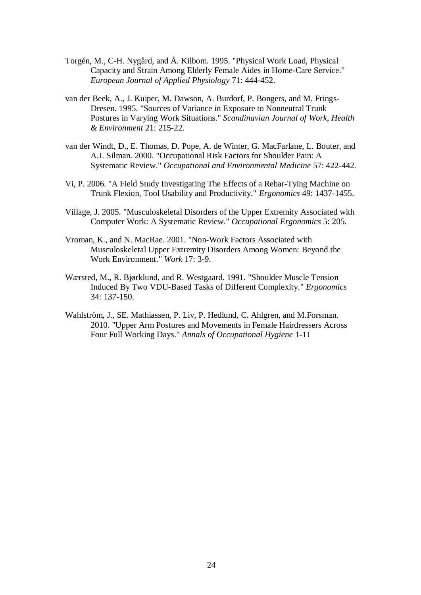- Torgén, M., C-H. Nygård, and Å. Kilbom. 1995. "Physical Work Load, Physical Capacity and Strain Among Elderly Female Aides in Home-Care Service." *European Journal of Applied Physiology* 71: 444-452.
- van der Beek, A., J. Kuiper, M. Dawson, A. Burdorf, P. Bongers, and M. Frings-Dresen. 1995. "Sources of Variance in Exposure to Nonneutral Trunk Postures in Varying Work Situations." *Scandinavian Journal of Work, Health & Environment* 21: 215-22.
- van der Windt, D., E. Thomas, D. Pope, A. de Winter, G. MacFarlane, L. Bouter, and A.J. Silman. 2000. "Occupational Risk Factors for Shoulder Pain: A Systematic Review." *Occupational and Environmental Medicine* 57: 422-442.
- Vi, P. 2006. "A Field Study Investigating The Effects of a Rebar-Tying Machine on Trunk Flexion, Tool Usability and Productivity." *Ergonomics* 49: 1437-1455.
- Village, J. 2005. "Musculoskeletal Disorders of the Upper Extremity Associated with Computer Work: A Systematic Review." *Occupational Ergonomics* 5: 205.
- Vroman, K., and N. MacRae. 2001. "Non-Work Factors Associated with Musculoskeletal Upper Extremity Disorders Among Women: Beyond the Work Environment." *Work* 17: 3-9.
- Wærsted, M., R. Bjørklund, and R. Westgaard. 1991. "Shoulder Muscle Tension Induced By Two VDU-Based Tasks of Different Complexity." *Ergonomics* 34: 137-150.
- Wahlström, J., SE. Mathiassen, P. Liv, P. Hedlund, C. Ahlgren, and M.Forsman. 2010. "Upper Arm Postures and Movements in Female Hairdressers Across Four Full Working Days." *Annals of Occupational Hygiene* 1-11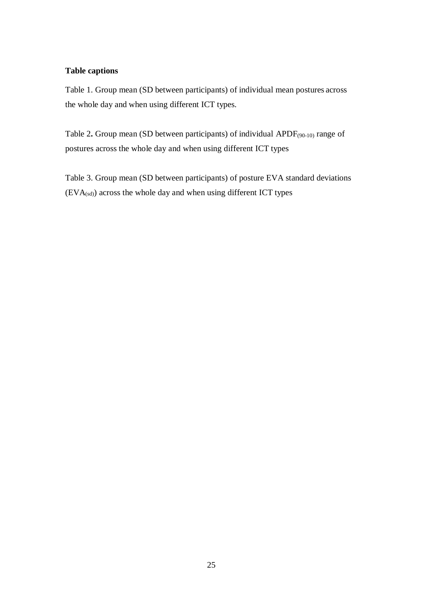# **Table captions**

Table 1. Group mean (SD between participants) of individual mean postures across the whole day and when using different ICT types.

Table 2**.** Group mean (SD between participants) of individual APDF(90-10) rangeof postures across the whole day and when using different ICT types

Table 3. Group mean (SD between participants) of posture EVA standard deviations  $(EVA_{(sd)})$  across the whole day and when using different ICT types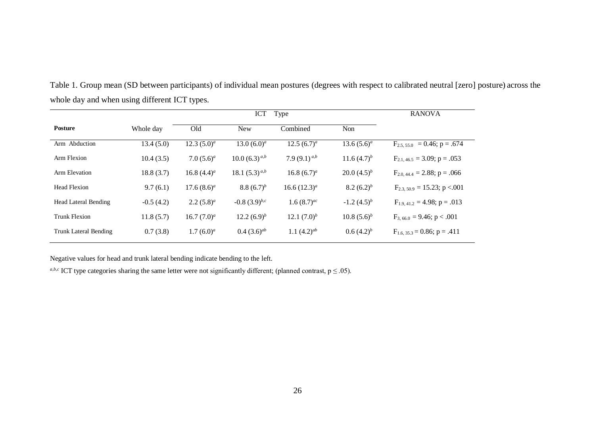|                              |             |                | Type<br><b>ICT</b>   | <b>RANOVA</b>     |                    |                                  |
|------------------------------|-------------|----------------|----------------------|-------------------|--------------------|----------------------------------|
| <b>Posture</b>               | Whole day   | Old            | <b>New</b>           | Combined          | Non                |                                  |
| Arm Abduction                | 13.4(5.0)   | 12.3 $(5.0)^a$ | 13.0 $(6.0)^a$       | 12.5 $(6.7)^a$    | $13.6(5.6)^{a}$    | $F_{2,5,55,0}$ = 0.46; p = .674  |
| Arm Flexion                  | 10.4(3.5)   | 7.0 $(5.6)^a$  | $10.0 (6.3)^{a,b}$   | 7.9 $(9.1)^{a,b}$ | 11.6 $(4.7)^b$     | $F_{2,1,46.5} = 3.09; p = .053$  |
| Arm Elevation                | 18.8(3.7)   | 16.8 $(4.4)^a$ | 18.1 $(5.3)^{a,b}$   | 16.8 $(6.7)^a$    | 20.0 $(4.5)^b$     | $F_{2,0,44,4} = 2.88$ ; p = .066 |
| <b>Head Flexion</b>          | 9.7(6.1)    | 17.6 $(8.6)^a$ | 8.8 $(6.7)^b$        | 16.6 $(12.3)^{a}$ | $8.2 (6.2)^{b}$    | $F_{2,3,50.9} = 15.23$ ; p <.001 |
| <b>Head Lateral Bending</b>  | $-0.5(4.2)$ | 2.2 $(5.8)^a$  | $-0.8$ $(3.9)^{b,c}$ | 1.6 $(8.7)^{ac}$  | $-1.2$ $(4.5)^{b}$ | $F_{1.9,41.2} = 4.98; p = .013$  |
| <b>Trunk Flexion</b>         | 11.8(5.7)   | 16.7 $(7.0)^a$ | $12.2(6.9)^{b}$      | 12.1 $(7.0)^b$    | $10.8(5.6)^b$      | $F_{3,66.0} = 9.46$ ; p < .001   |
| <b>Trunk Lateral Bending</b> | 0.7(3.8)    | $1.7(6.0)^a$   | $0.4(3.6)^{ab}$      | 1.1 $(4.2)^{ab}$  | $0.6(4.2)^{b}$     | $F_{1,6, 35,3} = 0.86; p = .411$ |

Table 1. Group mean (SD between participants) of individual mean postures (degrees with respect to calibrated neutral [zero] posture) across the whole day and when using different ICT types.

Negative values for head and trunk lateral bending indicate bending to the left.

*a,b,c* ICT type categories sharing the same letter were not significantly different; (planned contrast,  $p \le 0.05$ ).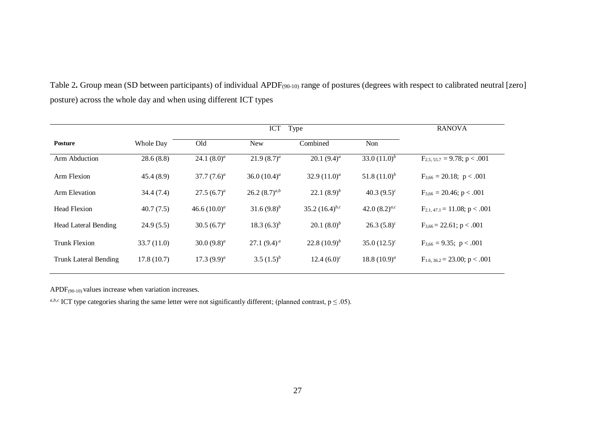| Table 2. Group mean (SD between participants) of individual APDF <sub>(90-10)</sub> range of postures (degrees with respect to calibrated neutral [zero] |  |
|----------------------------------------------------------------------------------------------------------------------------------------------------------|--|
| posture) across the whole day and when using different ICT types                                                                                         |  |

|                              |            | <b>ICT</b><br>Type |                   |                     |                    | <b>RANOVA</b>                      |
|------------------------------|------------|--------------------|-------------------|---------------------|--------------------|------------------------------------|
| Posture                      | Whole Day  | Old                | <b>New</b>        | Combined            | <b>Non</b>         |                                    |
| Arm Abduction                | 28.6(8.8)  | 24.1 $(8.0)^a$     | $21.9(8.7)^a$     | 20.1 $(9.4)^a$      | 33.0 $(11.0)^b$    | $F_{2.5.55.7} = 9.78$ ; p < .001   |
| Arm Flexion                  | 45.4(8.9)  | 37.7 $(7.6)^a$     | 36.0 $(10.4)^a$   | 32.9 $(11.0)^a$     | 51.8 $(11.0)^b$    | $F_{3,66} = 20.18$ ; p < .001      |
| Arm Elevation                | 34.4(7.4)  | $27.5(6.7)^a$      | $26.2(8.7)^{a,b}$ | 22.1 $(8.9)^b$      | 40.3 $(9.5)^c$     | $F_{3.66} = 20.46$ ; p < .001      |
| <b>Head Flexion</b>          | 40.7(7.5)  | 46.6 $(10.0)^a$    | 31.6 $(9.8)^b$    | 35.2 $(16.4)^{b,c}$ | 42.0 $(8.2)^{a,c}$ | $F_{2.1,47.1} = 11.08$ ; p < .001  |
| Head Lateral Bending         | 24.9(5.5)  | 30.5 $(6.7)^a$     | 18.3 $(6.3)^b$    | 20.1 $(8.0)^b$      | $26.3(5.8)^c$      | $F_{3.66} = 22.61$ ; p < .001      |
| <b>Trunk Flexion</b>         | 33.7(11.0) | 30.0 $(9.8)^a$     | 27.1 $(9.4)^a$    | 22.8 $(10.9)^b$     | $35.0(12.5)^c$     | $F_{3.66} = 9.35$ ; p < .001       |
| <b>Trunk Lateral Bending</b> | 17.8(10.7) | 17.3 $(9.9)^a$     | 3.5 $(1.5)^b$     | $12.4(6.0)^c$       | 18.8 $(10.9)^a$    | $F_{1.6, 36.2} = 23.00$ ; p < .001 |

APDF(90-10) values increase when variation increases.

*a,b,c* ICT type categories sharing the same letter were not significantly different; (planned contrast,  $p \le 0.05$ ).